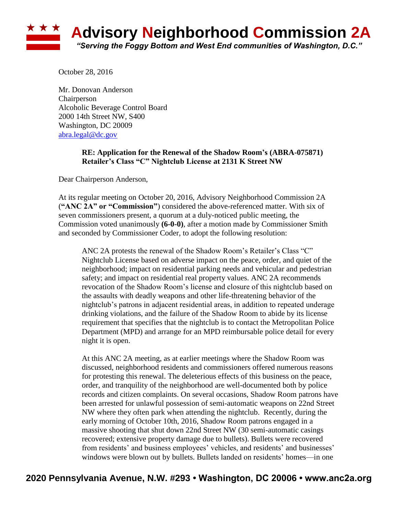

October 28, 2016

Mr. Donovan Anderson Chairperson Alcoholic Beverage Control Board 2000 14th Street NW, S400 Washington, DC 20009 [abra.legal@dc.gov](mailto:abra.legal@dc.gov)

## **RE: Application for the Renewal of the Shadow Room's (ABRA-075871) Retailer's Class "C" Nightclub License at 2131 K Street NW**

Dear Chairperson Anderson,

At its regular meeting on October 20, 2016, Advisory Neighborhood Commission 2A (**"ANC 2A" or "Commission"**) considered the above-referenced matter. With six of seven commissioners present, a quorum at a duly-noticed public meeting, the Commission voted unanimously **(6-0-0)**, after a motion made by Commissioner Smith and seconded by Commissioner Coder, to adopt the following resolution:

ANC 2A protests the renewal of the Shadow Room's Retailer's Class "C" Nightclub License based on adverse impact on the peace, order, and quiet of the neighborhood; impact on residential parking needs and vehicular and pedestrian safety; and impact on residential real property values. ANC 2A recommends revocation of the Shadow Room's license and closure of this nightclub based on the assaults with deadly weapons and other life-threatening behavior of the nightclub's patrons in adjacent residential areas, in addition to repeated underage drinking violations, and the failure of the Shadow Room to abide by its license requirement that specifies that the nightclub is to contact the Metropolitan Police Department (MPD) and arrange for an MPD reimbursable police detail for every night it is open.

At this ANC 2A meeting, as at earlier meetings where the Shadow Room was discussed, neighborhood residents and commissioners offered numerous reasons for protesting this renewal. The deleterious effects of this business on the peace, order, and tranquility of the neighborhood are well-documented both by police records and citizen complaints. On several occasions, Shadow Room patrons have been arrested for unlawful possession of semi-automatic weapons on 22nd Street NW where they often park when attending the nightclub. Recently, during the early morning of October 10th, 2016, Shadow Room patrons engaged in a massive shooting that shut down 22nd Street NW (30 semi-automatic casings recovered; extensive property damage due to bullets). Bullets were recovered from residents' and business employees' vehicles, and residents' and businesses' windows were blown out by bullets. Bullets landed on residents' homes—in one